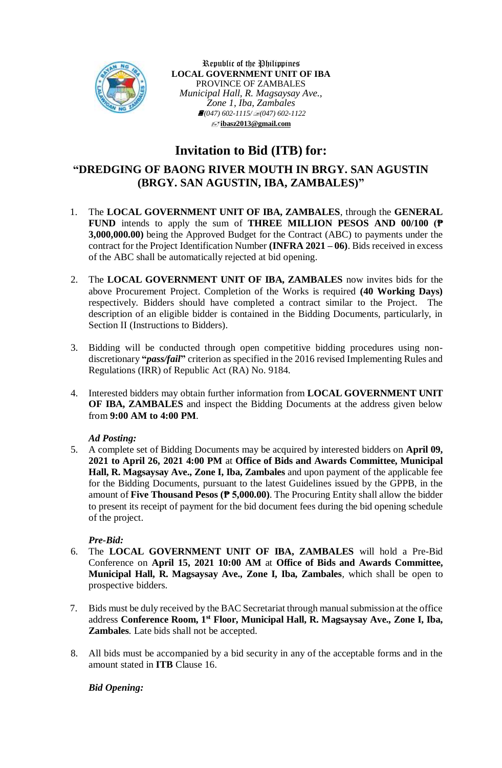

Republic of the Philippines **LOCAL GOVERNMENT UNIT OF IBA** PROVINCE OF ZAMBALES *Municipal Hall, R. Magsaysay Ave., Zone 1, Iba, Zambales (047) 602-1115/(047) 602-1122* **[ibasz2013@gmail.com](mailto:ibasz2013@gmail.com)**

# **Invitation to Bid (ITB) for:**

## **"DREDGING OF BAONG RIVER MOUTH IN BRGY. SAN AGUSTIN (BRGY. SAN AGUSTIN, IBA, ZAMBALES)"**

- 1. The **LOCAL GOVERNMENT UNIT OF IBA, ZAMBALES**, through the **GENERAL FUND** intends to apply the sum of **THREE MILLION PESOS AND 00/100 (₱ 3,000,000.00)** being the Approved Budget for the Contract (ABC) to payments under the contract for the Project Identification Number **(INFRA 2021 – 06)**. Bids received in excess of the ABC shall be automatically rejected at bid opening.
- 2. The **LOCAL GOVERNMENT UNIT OF IBA, ZAMBALES** now invites bids for the above Procurement Project. Completion of the Works is required **(40 Working Days)** respectively. Bidders should have completed a contract similar to the Project. The description of an eligible bidder is contained in the Bidding Documents, particularly, in Section II (Instructions to Bidders).
- 3. Bidding will be conducted through open competitive bidding procedures using nondiscretionary **"***pass/fail***"** criterion as specified in the 2016 revised Implementing Rules and Regulations (IRR) of Republic Act (RA) No. 9184.
- 4. Interested bidders may obtain further information from **LOCAL GOVERNMENT UNIT OF IBA, ZAMBALES** and inspect the Bidding Documents at the address given below from **9:00 AM to 4:00 PM**.

#### *Ad Posting:*

5. A complete set of Bidding Documents may be acquired by interested bidders on **April 09, 2021 to April 26, 2021 4:00 PM** at **Office of Bids and Awards Committee, Municipal Hall, R. Magsaysay Ave., Zone I, Iba, Zambales** and upon payment of the applicable fee for the Bidding Documents, pursuant to the latest Guidelines issued by the GPPB, in the amount of **Five Thousand Pesos (₱ 5,000.00)**. The Procuring Entity shall allow the bidder to present its receipt of payment for the bid document fees during the bid opening schedule of the project.

### *Pre-Bid:*

- 6. The **LOCAL GOVERNMENT UNIT OF IBA, ZAMBALES** will hold a Pre-Bid Conference on **April 15, 2021 10:00 AM** at **Office of Bids and Awards Committee, Municipal Hall, R. Magsaysay Ave., Zone I, Iba, Zambales***,* which shall be open to prospective bidders.
- 7. Bids must be duly received by the BAC Secretariat through manual submission at the office address **Conference Room, 1st Floor, Municipal Hall, R. Magsaysay Ave., Zone I, Iba, Zambales***.* Late bids shall not be accepted.
- 8. All bids must be accompanied by a bid security in any of the acceptable forms and in the amount stated in **ITB** Clause 16.

#### *Bid Opening:*